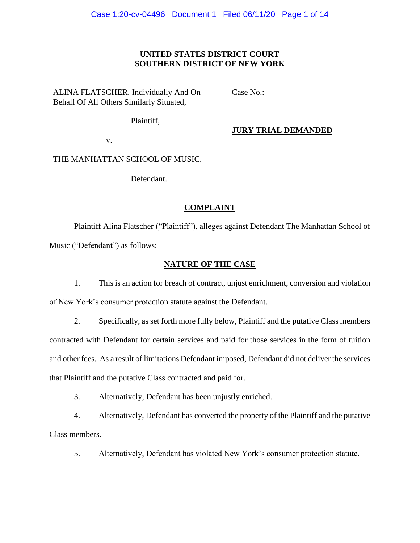## **UNITED STATES DISTRICT COURT SOUTHERN DISTRICT OF NEW YORK**

ALINA FLATSCHER, Individually And On Behalf Of All Others Similarly Situated,

Case No.:

Plaintiff,

**JURY TRIAL DEMANDED**

v.

THE MANHATTAN SCHOOL OF MUSIC,

Defendant.

# **COMPLAINT**

Plaintiff Alina Flatscher ("Plaintiff"), alleges against Defendant The Manhattan School of Music ("Defendant") as follows:

# **NATURE OF THE CASE**

1. This is an action for breach of contract, unjust enrichment, conversion and violation of New York's consumer protection statute against the Defendant.

2. Specifically, as set forth more fully below, Plaintiff and the putative Class members contracted with Defendant for certain services and paid for those services in the form of tuition and other fees. As a result of limitations Defendant imposed, Defendant did not deliver the services that Plaintiff and the putative Class contracted and paid for.

3. Alternatively, Defendant has been unjustly enriched.

4. Alternatively, Defendant has converted the property of the Plaintiff and the putative Class members.

5. Alternatively, Defendant has violated New York's consumer protection statute.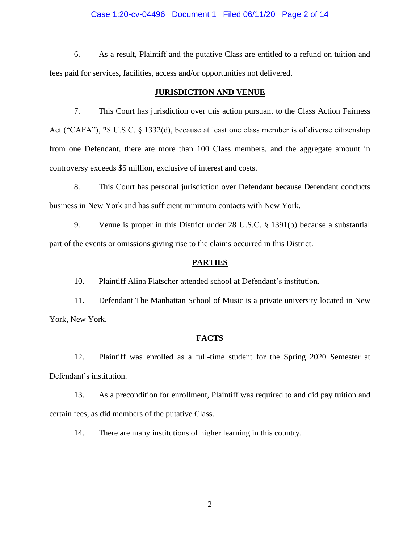## Case 1:20-cv-04496 Document 1 Filed 06/11/20 Page 2 of 14

6. As a result, Plaintiff and the putative Class are entitled to a refund on tuition and fees paid for services, facilities, access and/or opportunities not delivered.

## **JURISDICTION AND VENUE**

7. This Court has jurisdiction over this action pursuant to the Class Action Fairness Act ("CAFA"), 28 U.S.C. § 1332(d), because at least one class member is of diverse citizenship from one Defendant, there are more than 100 Class members, and the aggregate amount in controversy exceeds \$5 million, exclusive of interest and costs.

8. This Court has personal jurisdiction over Defendant because Defendant conducts business in New York and has sufficient minimum contacts with New York.

9. Venue is proper in this District under 28 U.S.C. § 1391(b) because a substantial part of the events or omissions giving rise to the claims occurred in this District.

## **PARTIES**

10. Plaintiff Alina Flatscher attended school at Defendant's institution.

11. Defendant The Manhattan School of Music is a private university located in New York, New York.

#### **FACTS**

12. Plaintiff was enrolled as a full-time student for the Spring 2020 Semester at Defendant's institution.

13. As a precondition for enrollment, Plaintiff was required to and did pay tuition and certain fees, as did members of the putative Class.

14. There are many institutions of higher learning in this country.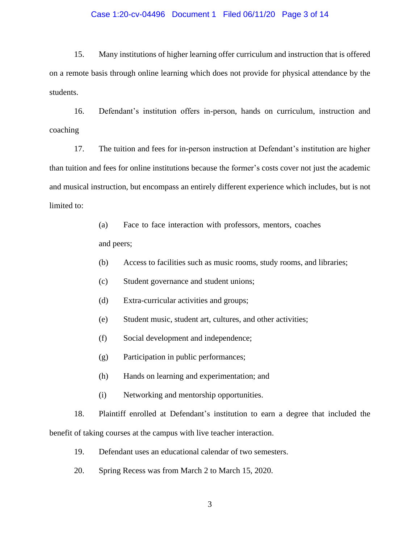## Case 1:20-cv-04496 Document 1 Filed 06/11/20 Page 3 of 14

15. Many institutions of higher learning offer curriculum and instruction that is offered on a remote basis through online learning which does not provide for physical attendance by the students.

16. Defendant's institution offers in-person, hands on curriculum, instruction and coaching

17. The tuition and fees for in-person instruction at Defendant's institution are higher than tuition and fees for online institutions because the former's costs cover not just the academic and musical instruction, but encompass an entirely different experience which includes, but is not limited to:

> (a) Face to face interaction with professors, mentors, coaches and peers;

- (b) Access to facilities such as music rooms, study rooms, and libraries;
- (c) Student governance and student unions;
- (d) Extra-curricular activities and groups;
- (e) Student music, student art, cultures, and other activities;
- (f) Social development and independence;
- (g) Participation in public performances;
- (h) Hands on learning and experimentation; and
- (i) Networking and mentorship opportunities.

18. Plaintiff enrolled at Defendant's institution to earn a degree that included the benefit of taking courses at the campus with live teacher interaction.

- 19. Defendant uses an educational calendar of two semesters.
- 20. Spring Recess was from March 2 to March 15, 2020.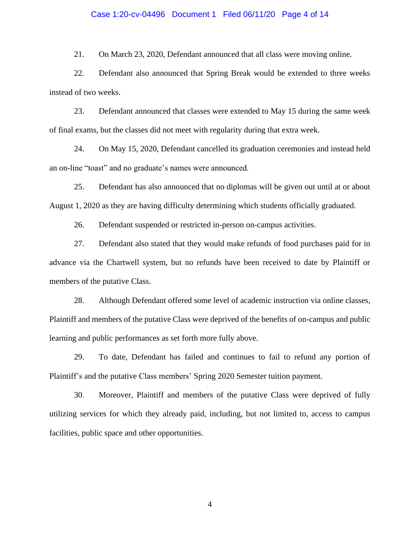## Case 1:20-cv-04496 Document 1 Filed 06/11/20 Page 4 of 14

21. On March 23, 2020, Defendant announced that all class were moving online.

22. Defendant also announced that Spring Break would be extended to three weeks instead of two weeks.

23. Defendant announced that classes were extended to May 15 during the same week of final exams, but the classes did not meet with regularity during that extra week.

24. On May 15, 2020, Defendant cancelled its graduation ceremonies and instead held an on-line "toast" and no graduate's names were announced.

25. Defendant has also announced that no diplomas will be given out until at or about August 1, 2020 as they are having difficulty determining which students officially graduated.

26. Defendant suspended or restricted in-person on-campus activities.

27. Defendant also stated that they would make refunds of food purchases paid for in advance via the Chartwell system, but no refunds have been received to date by Plaintiff or members of the putative Class.

28. Although Defendant offered some level of academic instruction via online classes, Plaintiff and members of the putative Class were deprived of the benefits of on-campus and public learning and public performances as set forth more fully above.

29. To date, Defendant has failed and continues to fail to refund any portion of Plaintiff's and the putative Class members' Spring 2020 Semester tuition payment.

30. Moreover, Plaintiff and members of the putative Class were deprived of fully utilizing services for which they already paid, including, but not limited to, access to campus facilities, public space and other opportunities.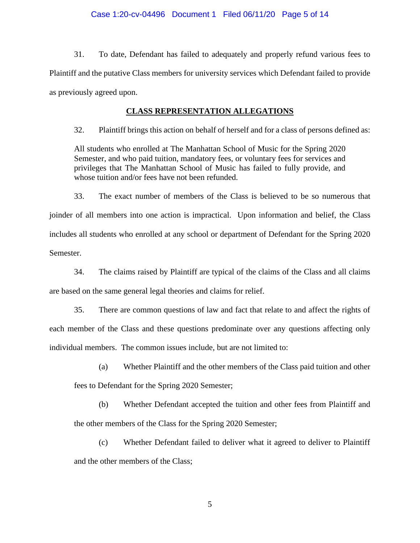## Case 1:20-cv-04496 Document 1 Filed 06/11/20 Page 5 of 14

31. To date, Defendant has failed to adequately and properly refund various fees to Plaintiff and the putative Class members for university services which Defendant failed to provide as previously agreed upon.

## **CLASS REPRESENTATION ALLEGATIONS**

32. Plaintiff brings this action on behalf of herself and for a class of persons defined as:

All students who enrolled at The Manhattan School of Music for the Spring 2020 Semester, and who paid tuition, mandatory fees, or voluntary fees for services and privileges that The Manhattan School of Music has failed to fully provide, and whose tuition and/or fees have not been refunded.

33. The exact number of members of the Class is believed to be so numerous that joinder of all members into one action is impractical. Upon information and belief, the Class includes all students who enrolled at any school or department of Defendant for the Spring 2020 Semester.

34. The claims raised by Plaintiff are typical of the claims of the Class and all claims are based on the same general legal theories and claims for relief.

35. There are common questions of law and fact that relate to and affect the rights of each member of the Class and these questions predominate over any questions affecting only individual members. The common issues include, but are not limited to:

(a) Whether Plaintiff and the other members of the Class paid tuition and other

fees to Defendant for the Spring 2020 Semester;

(b) Whether Defendant accepted the tuition and other fees from Plaintiff and the other members of the Class for the Spring 2020 Semester;

(c) Whether Defendant failed to deliver what it agreed to deliver to Plaintiff and the other members of the Class;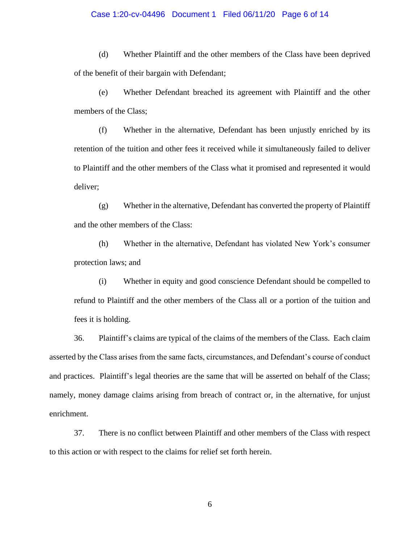## Case 1:20-cv-04496 Document 1 Filed 06/11/20 Page 6 of 14

(d) Whether Plaintiff and the other members of the Class have been deprived of the benefit of their bargain with Defendant;

(e) Whether Defendant breached its agreement with Plaintiff and the other members of the Class;

(f) Whether in the alternative, Defendant has been unjustly enriched by its retention of the tuition and other fees it received while it simultaneously failed to deliver to Plaintiff and the other members of the Class what it promised and represented it would deliver;

(g) Whether in the alternative, Defendant has converted the property of Plaintiff and the other members of the Class:

(h) Whether in the alternative, Defendant has violated New York's consumer protection laws; and

(i) Whether in equity and good conscience Defendant should be compelled to refund to Plaintiff and the other members of the Class all or a portion of the tuition and fees it is holding.

36. Plaintiff's claims are typical of the claims of the members of the Class. Each claim asserted by the Class arises from the same facts, circumstances, and Defendant's course of conduct and practices. Plaintiff's legal theories are the same that will be asserted on behalf of the Class; namely, money damage claims arising from breach of contract or, in the alternative, for unjust enrichment.

37. There is no conflict between Plaintiff and other members of the Class with respect to this action or with respect to the claims for relief set forth herein.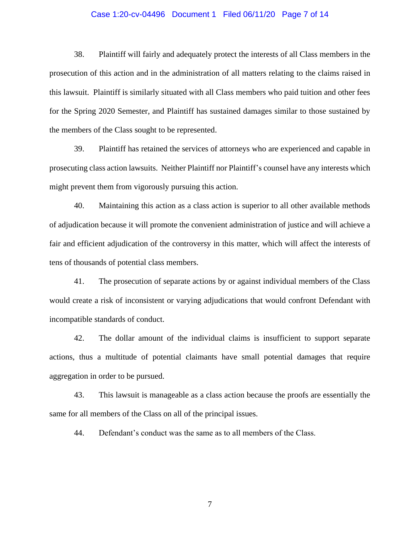## Case 1:20-cv-04496 Document 1 Filed 06/11/20 Page 7 of 14

38. Plaintiff will fairly and adequately protect the interests of all Class members in the prosecution of this action and in the administration of all matters relating to the claims raised in this lawsuit. Plaintiff is similarly situated with all Class members who paid tuition and other fees for the Spring 2020 Semester, and Plaintiff has sustained damages similar to those sustained by the members of the Class sought to be represented.

39. Plaintiff has retained the services of attorneys who are experienced and capable in prosecuting class action lawsuits. Neither Plaintiff nor Plaintiff's counsel have any interests which might prevent them from vigorously pursuing this action.

40. Maintaining this action as a class action is superior to all other available methods of adjudication because it will promote the convenient administration of justice and will achieve a fair and efficient adjudication of the controversy in this matter, which will affect the interests of tens of thousands of potential class members.

41. The prosecution of separate actions by or against individual members of the Class would create a risk of inconsistent or varying adjudications that would confront Defendant with incompatible standards of conduct.

42. The dollar amount of the individual claims is insufficient to support separate actions, thus a multitude of potential claimants have small potential damages that require aggregation in order to be pursued.

43. This lawsuit is manageable as a class action because the proofs are essentially the same for all members of the Class on all of the principal issues.

44. Defendant's conduct was the same as to all members of the Class.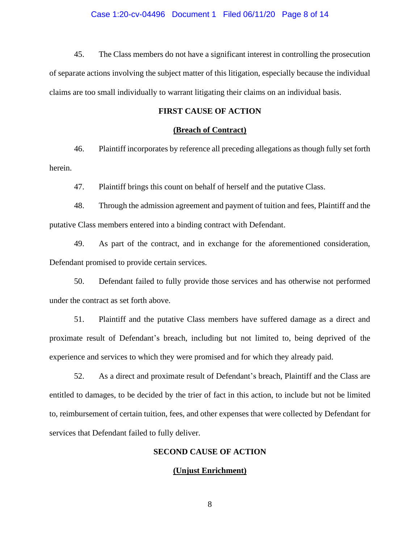45. The Class members do not have a significant interest in controlling the prosecution of separate actions involving the subject matter of this litigation, especially because the individual claims are too small individually to warrant litigating their claims on an individual basis.

## **FIRST CAUSE OF ACTION**

### **(Breach of Contract)**

46. Plaintiff incorporates by reference all preceding allegations as though fully set forth herein.

47. Plaintiff brings this count on behalf of herself and the putative Class.

48. Through the admission agreement and payment of tuition and fees, Plaintiff and the putative Class members entered into a binding contract with Defendant.

49. As part of the contract, and in exchange for the aforementioned consideration, Defendant promised to provide certain services.

50. Defendant failed to fully provide those services and has otherwise not performed under the contract as set forth above.

51. Plaintiff and the putative Class members have suffered damage as a direct and proximate result of Defendant's breach, including but not limited to, being deprived of the experience and services to which they were promised and for which they already paid.

52. As a direct and proximate result of Defendant's breach, Plaintiff and the Class are entitled to damages, to be decided by the trier of fact in this action, to include but not be limited to, reimbursement of certain tuition, fees, and other expenses that were collected by Defendant for services that Defendant failed to fully deliver.

## **SECOND CAUSE OF ACTION**

## **(Unjust Enrichment)**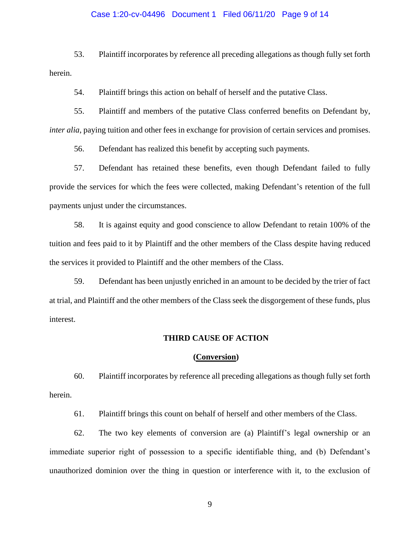## Case 1:20-cv-04496 Document 1 Filed 06/11/20 Page 9 of 14

53. Plaintiff incorporates by reference all preceding allegations as though fully set forth herein.

54. Plaintiff brings this action on behalf of herself and the putative Class.

55. Plaintiff and members of the putative Class conferred benefits on Defendant by, *inter alia*, paying tuition and other fees in exchange for provision of certain services and promises.

56. Defendant has realized this benefit by accepting such payments.

57. Defendant has retained these benefits, even though Defendant failed to fully provide the services for which the fees were collected, making Defendant's retention of the full payments unjust under the circumstances.

58. It is against equity and good conscience to allow Defendant to retain 100% of the tuition and fees paid to it by Plaintiff and the other members of the Class despite having reduced the services it provided to Plaintiff and the other members of the Class.

59. Defendant has been unjustly enriched in an amount to be decided by the trier of fact at trial, and Plaintiff and the other members of the Class seek the disgorgement of these funds, plus interest.

### **THIRD CAUSE OF ACTION**

### **(Conversion)**

60. Plaintiff incorporates by reference all preceding allegations as though fully set forth herein.

61. Plaintiff brings this count on behalf of herself and other members of the Class.

62. The two key elements of conversion are (a) Plaintiff's legal ownership or an immediate superior right of possession to a specific identifiable thing, and (b) Defendant's unauthorized dominion over the thing in question or interference with it, to the exclusion of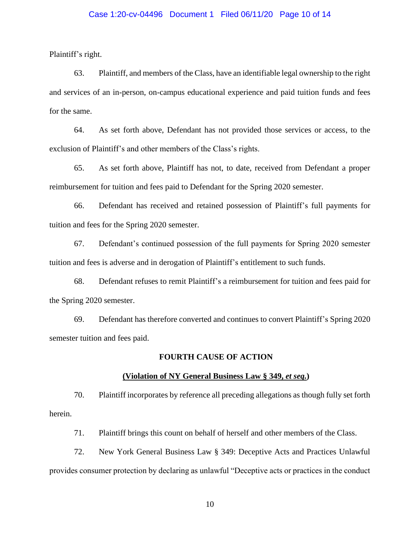## Case 1:20-cv-04496 Document 1 Filed 06/11/20 Page 10 of 14

Plaintiff's right.

63. Plaintiff, and members of the Class, have an identifiable legal ownership to the right and services of an in-person, on-campus educational experience and paid tuition funds and fees for the same.

64. As set forth above, Defendant has not provided those services or access, to the exclusion of Plaintiff's and other members of the Class's rights.

65. As set forth above, Plaintiff has not, to date, received from Defendant a proper reimbursement for tuition and fees paid to Defendant for the Spring 2020 semester.

66. Defendant has received and retained possession of Plaintiff's full payments for tuition and fees for the Spring 2020 semester.

67. Defendant's continued possession of the full payments for Spring 2020 semester tuition and fees is adverse and in derogation of Plaintiff's entitlement to such funds.

68. Defendant refuses to remit Plaintiff's a reimbursement for tuition and fees paid for the Spring 2020 semester.

69. Defendant has therefore converted and continues to convert Plaintiff's Spring 2020 semester tuition and fees paid.

### **FOURTH CAUSE OF ACTION**

#### **(Violation of NY General Business Law § 349,** *et seq.***)**

70. Plaintiff incorporates by reference all preceding allegations as though fully set forth herein.

71. Plaintiff brings this count on behalf of herself and other members of the Class.

72. New York General Business Law § 349: Deceptive Acts and Practices Unlawful provides consumer protection by declaring as unlawful "Deceptive acts or practices in the conduct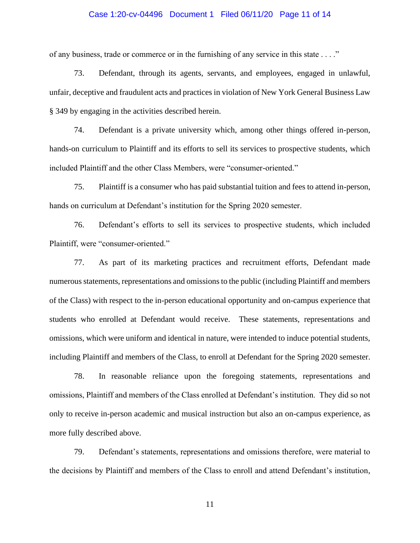## Case 1:20-cv-04496 Document 1 Filed 06/11/20 Page 11 of 14

of any business, trade or commerce or in the furnishing of any service in this state . . . ."

73. Defendant, through its agents, servants, and employees, engaged in unlawful, unfair, deceptive and fraudulent acts and practices in violation of New York General Business Law § 349 by engaging in the activities described herein.

74. Defendant is a private university which, among other things offered in-person, hands-on curriculum to Plaintiff and its efforts to sell its services to prospective students, which included Plaintiff and the other Class Members, were "consumer-oriented."

75. Plaintiff is a consumer who has paid substantial tuition and fees to attend in-person, hands on curriculum at Defendant's institution for the Spring 2020 semester.

76. Defendant's efforts to sell its services to prospective students, which included Plaintiff, were "consumer-oriented."

77. As part of its marketing practices and recruitment efforts, Defendant made numerous statements, representations and omissions to the public (including Plaintiff and members of the Class) with respect to the in-person educational opportunity and on-campus experience that students who enrolled at Defendant would receive. These statements, representations and omissions, which were uniform and identical in nature, were intended to induce potential students, including Plaintiff and members of the Class, to enroll at Defendant for the Spring 2020 semester.

78. In reasonable reliance upon the foregoing statements, representations and omissions, Plaintiff and members of the Class enrolled at Defendant's institution. They did so not only to receive in-person academic and musical instruction but also an on-campus experience, as more fully described above.

79. Defendant's statements, representations and omissions therefore, were material to the decisions by Plaintiff and members of the Class to enroll and attend Defendant's institution,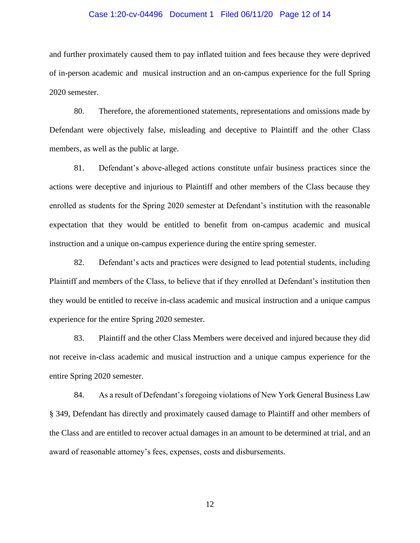## Case 1:20-cv-04496 Document 1 Filed 06/11/20 Page 12 of 14

and further proximately caused them to pay inflated tuition and fees because they were deprived of in-person academic and musical instruction and an on-campus experience for the full Spring 2020 semester.

80. Therefore, the aforementioned statements, representations and omissions made by Defendant were objectively false, misleading and deceptive to Plaintiff and the other Class members, as well as the public at large.

81. Defendant's above-alleged actions constitute unfair business practices since the actions were deceptive and injurious to Plaintiff and other members of the Class because they enrolled as students for the Spring 2020 semester at Defendant's institution with the reasonable expectation that they would be entitled to benefit from on-campus academic and musical instruction and a unique on-campus experience during the entire spring semester.

82. Defendant's acts and practices were designed to lead potential students, including Plaintiff and members of the Class, to believe that if they enrolled at Defendant's institution then they would be entitled to receive in-class academic and musical instruction and a unique campus experience for the entire Spring 2020 semester.

83. Plaintiff and the other Class Members were deceived and injured because they did not receive in-class academic and musical instruction and a unique campus experience for the entire Spring 2020 semester.

84. As a result of Defendant's foregoing violations of New York General Business Law § 349, Defendant has directly and proximately caused damage to Plaintiff and other members of the Class and are entitled to recover actual damages in an amount to be determined at trial, and an award of reasonable attorney's fees, expenses, costs and disbursements.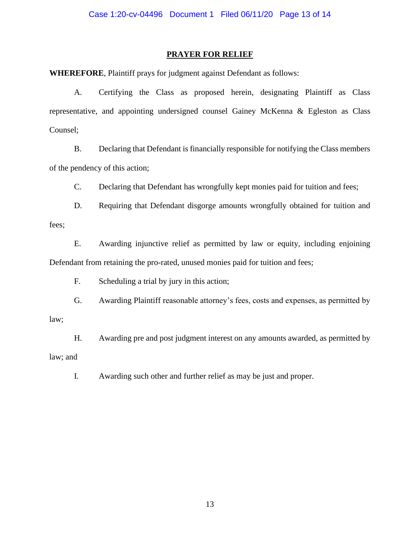## **PRAYER FOR RELIEF**

**WHEREFORE**, Plaintiff prays for judgment against Defendant as follows:

A. Certifying the Class as proposed herein, designating Plaintiff as Class representative, and appointing undersigned counsel Gainey McKenna & Egleston as Class Counsel;

B. Declaring that Defendant is financially responsible for notifying the Class members of the pendency of this action;

C. Declaring that Defendant has wrongfully kept monies paid for tuition and fees;

D. Requiring that Defendant disgorge amounts wrongfully obtained for tuition and fees;

E. Awarding injunctive relief as permitted by law or equity, including enjoining Defendant from retaining the pro-rated, unused monies paid for tuition and fees;

F. Scheduling a trial by jury in this action;

G. Awarding Plaintiff reasonable attorney's fees, costs and expenses, as permitted by law;

H. Awarding pre and post judgment interest on any amounts awarded, as permitted by law; and

I. Awarding such other and further relief as may be just and proper.